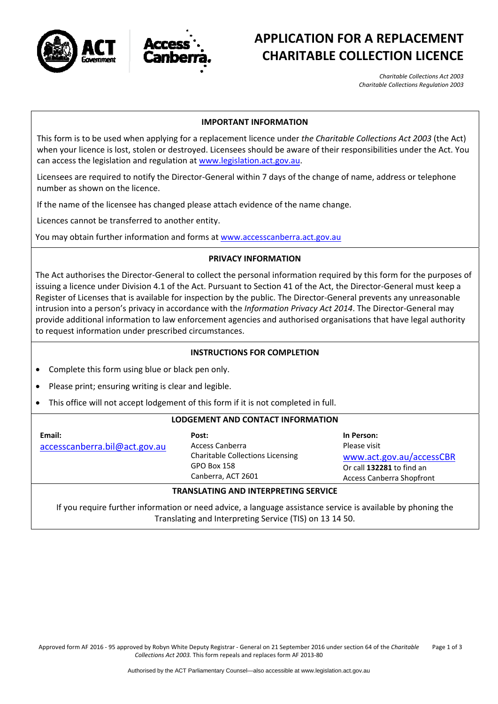



# **APPLICATION FOR A REPLACEMENT CHARITABLE COLLECTION LICENCE**

*Charitable Collections Act 2003 Charitable Collections Regulation 2003*

### **IMPORTANT INFORMATION**

This form is to be used when applying for a replacement licence under *the Charitable Collections Act 2003* (the Act) when your licence is lost, stolen or destroyed. Licensees should be aware of their responsibilities under the Act. You can access the legislation and regulation at [www.legislation.act.gov.au.](http://www.legislation.act.gov.au/)

Licensees are required to notify the Director‐General within 7 days of the change of name, address or telephone number as shown on the licence.

If the name of the licensee has changed please attach evidence of the name change.

Licences cannot be transferred to another entity.

You may obtain further information and forms at [www.accesscanberra.act.gov.au](http://www.accesscanberra.act.gov.au/)

### **PRIVACY INFORMATION**

The Act authorises the Director‐General to collect the personal information required by this form for the purposes of issuing a licence under Division 4.1 of the Act. Pursuant to Section 41 of the Act, the Director‐General must keep a Register of Licenses that is available for inspection by the public. The Director‐General prevents any unreasonable intrusion into a person's privacy in accordance with the *Information Privacy Act 2014*. The Director‐General may provide additional information to law enforcement agencies and authorised organisations that have legal authority to request information under prescribed circumstances.

### **INSTRUCTIONS FOR COMPLETION**

- Complete this form using blue or black pen only.
- Please print; ensuring writing is clear and legible.
- This office will not accept lodgement of this form if it is not completed in full.

#### **LODGEMENT AND CONTACT INFORMATION**

**Email:** [accesscanberra.bil@act.gov.au](mailto:accesscanberra.bil@act.gov.au)

**Post:** Access Canberra Charitable Collections Licensing GPO Box 158 Canberra, ACT 2601

**In Person:** Please visit [www.act.gov.au/accessCBR](http://www.act.gov.au/accessCBR) Or call **132281** to find an Access Canberra Shopfront

## **TRANSLATING AND INTERPRETING SERVICE**

If you require further information or need advice, a language assistance service is available by phoning the Translating and Interpreting Service (TIS) on 13 14 50.

Approved form AF 2016 ‐ 95 approved by Robyn White Deputy Registrar ‐ General on 21 September 2016 under section 64 of the *Charitable Collections Act 2003.* This form repeals and replaces form AF 2013‐80 Page 1 of 3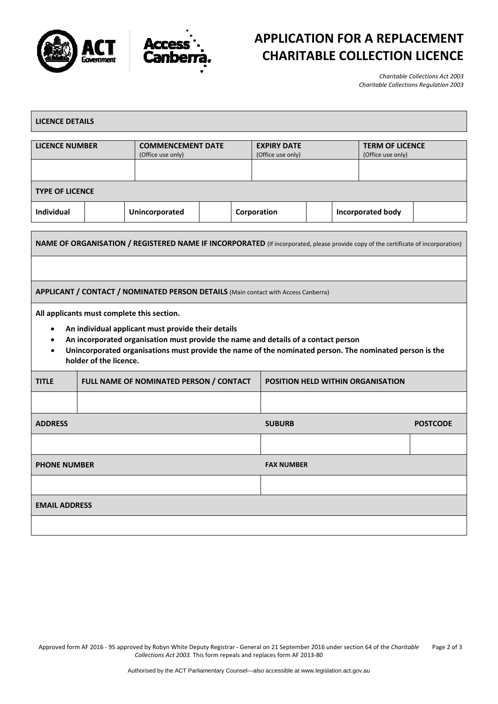



# **APPLICATION FOR A REPLACEMENT CHARITABLE COLLECTION LICENCE**

*Charitable Collections Act 2003 Charitable Collections Regulation 2003*

| <b>LICENCE DETAILS</b>                                                                                                                                                                                                                                                                                                                                |                                         |                                               |               |                                         |                                          |                                             |  |  |
|-------------------------------------------------------------------------------------------------------------------------------------------------------------------------------------------------------------------------------------------------------------------------------------------------------------------------------------------------------|-----------------------------------------|-----------------------------------------------|---------------|-----------------------------------------|------------------------------------------|---------------------------------------------|--|--|
| <b>LICENCE NUMBER</b>                                                                                                                                                                                                                                                                                                                                 |                                         | <b>COMMENCEMENT DATE</b><br>(Office use only) |               | <b>EXPIRY DATE</b><br>(Office use only) |                                          | <b>TERM OF LICENCE</b><br>(Office use only) |  |  |
| <b>TYPE OF LICENCE</b>                                                                                                                                                                                                                                                                                                                                |                                         |                                               |               |                                         |                                          |                                             |  |  |
| <b>Individual</b>                                                                                                                                                                                                                                                                                                                                     |                                         | Unincorporated                                |               | Corporation                             | <b>Incorporated body</b>                 |                                             |  |  |
| NAME OF ORGANISATION / REGISTERED NAME IF INCORPORATED (If incorporated, please provide copy of the certificate of incorporation)                                                                                                                                                                                                                     |                                         |                                               |               |                                         |                                          |                                             |  |  |
| APPLICANT / CONTACT / NOMINATED PERSON DETAILS (Main contact with Access Canberra)                                                                                                                                                                                                                                                                    |                                         |                                               |               |                                         |                                          |                                             |  |  |
| All applicants must complete this section.<br>An individual applicant must provide their details<br>$\bullet$<br>An incorporated organisation must provide the name and details of a contact person<br>Unincorporated organisations must provide the name of the nominated person. The nominated person is the<br>$\bullet$<br>holder of the licence. |                                         |                                               |               |                                         |                                          |                                             |  |  |
| <b>TITLE</b>                                                                                                                                                                                                                                                                                                                                          | FULL NAME OF NOMINATED PERSON / CONTACT |                                               |               |                                         | <b>POSITION HELD WITHIN ORGANISATION</b> |                                             |  |  |
|                                                                                                                                                                                                                                                                                                                                                       |                                         |                                               |               |                                         |                                          |                                             |  |  |
| <b>ADDRESS</b>                                                                                                                                                                                                                                                                                                                                        |                                         |                                               | <b>SUBURB</b> |                                         |                                          | <b>POSTCODE</b>                             |  |  |
|                                                                                                                                                                                                                                                                                                                                                       |                                         |                                               |               |                                         |                                          |                                             |  |  |
| <b>PHONE NUMBER</b>                                                                                                                                                                                                                                                                                                                                   |                                         |                                               |               |                                         | <b>FAX NUMBER</b>                        |                                             |  |  |
|                                                                                                                                                                                                                                                                                                                                                       |                                         |                                               |               |                                         |                                          |                                             |  |  |
| <b>EMAIL ADDRESS</b>                                                                                                                                                                                                                                                                                                                                  |                                         |                                               |               |                                         |                                          |                                             |  |  |
|                                                                                                                                                                                                                                                                                                                                                       |                                         |                                               |               |                                         |                                          |                                             |  |  |